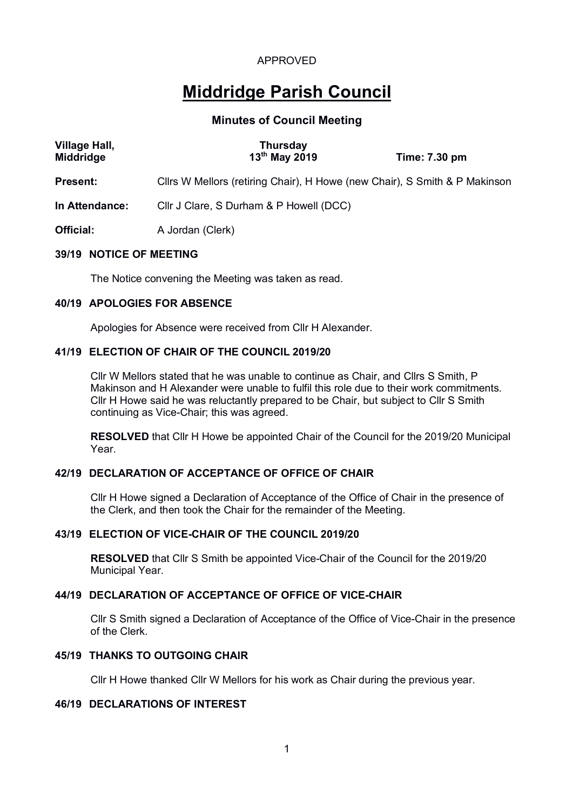# **Middridge Parish Council**

## **Minutes of Council Meeting**

| <b>Village Hall,</b><br><b>Middridge</b> | <b>Thursday</b><br>13 <sup>th</sup> May 2019                               | Time: 7.30 pm |
|------------------------------------------|----------------------------------------------------------------------------|---------------|
| <b>Present:</b>                          | Cllrs W Mellors (retiring Chair), H Howe (new Chair), S Smith & P Makinson |               |
| In Attendance:                           | Cllr J Clare, S Durham & P Howell (DCC)                                    |               |
| <b>Official:</b>                         | A Jordan (Clerk)                                                           |               |
| 39/19 NOTICE OF MEETING                  |                                                                            |               |

The Notice convening the Meeting was taken as read.

## **40/19 APOLOGIES FOR ABSENCE**

Apologies for Absence were received from Cllr H Alexander.

## **41/19 ELECTION OF CHAIR OF THE COUNCIL 2019/20**

Cllr W Mellors stated that he was unable to continue as Chair, and Cllrs S Smith, P Makinson and H Alexander were unable to fulfil this role due to their work commitments. Cllr H Howe said he was reluctantly prepared to be Chair, but subject to Cllr S Smith continuing as Vice-Chair; this was agreed.

**RESOLVED** that Cllr H Howe be appointed Chair of the Council for the 2019/20 Municipal Year.

## **42/19 DECLARATION OF ACCEPTANCE OF OFFICE OF CHAIR**

Cllr H Howe signed a Declaration of Acceptance of the Office of Chair in the presence of the Clerk, and then took the Chair for the remainder of the Meeting.

#### **43/19 ELECTION OF VICE-CHAIR OF THE COUNCIL 2019/20**

**RESOLVED** that Cllr S Smith be appointed Vice-Chair of the Council for the 2019/20 Municipal Year.

# **44/19 DECLARATION OF ACCEPTANCE OF OFFICE OF VICE-CHAIR**

Cllr S Smith signed a Declaration of Acceptance of the Office of Vice-Chair in the presence of the Clerk.

## **45/19 THANKS TO OUTGOING CHAIR**

Cllr H Howe thanked Cllr W Mellors for his work as Chair during the previous year.

## **46/19 DECLARATIONS OF INTEREST**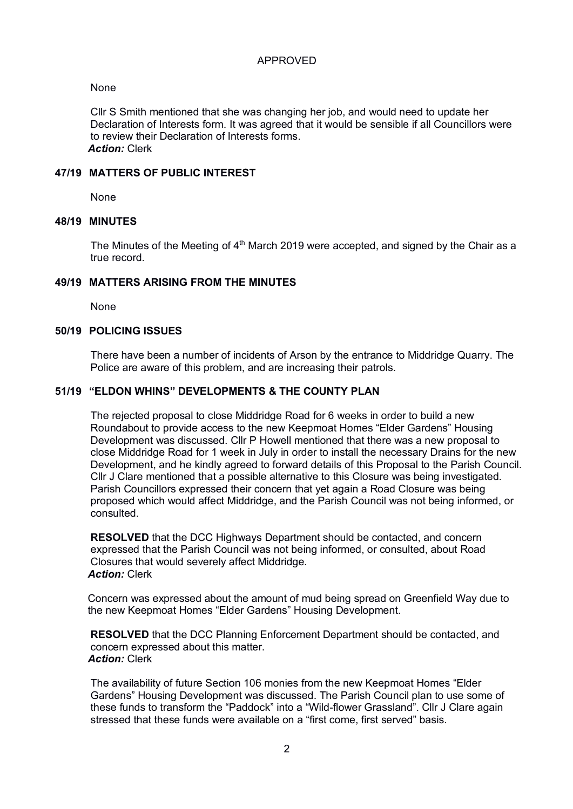## None

Cllr S Smith mentioned that she was changing her job, and would need to update her Declaration of Interests form. It was agreed that it would be sensible if all Councillors were to review their Declaration of Interests forms. *Action:* Clerk

## **47/19 MATTERS OF PUBLIC INTEREST**

None

## **48/19 MINUTES**

The Minutes of the Meeting of  $4<sup>th</sup>$  March 2019 were accepted, and signed by the Chair as a true record.

## **49/19 MATTERS ARISING FROM THE MINUTES**

None

### **50/19 POLICING ISSUES**

There have been a number of incidents of Arson by the entrance to Middridge Quarry. The Police are aware of this problem, and are increasing their patrols.

### **51/19 "ELDON WHINS" DEVELOPMENTS & THE COUNTY PLAN**

The rejected proposal to close Middridge Road for 6 weeks in order to build a new Roundabout to provide access to the new Keepmoat Homes "Elder Gardens" Housing Development was discussed. Cllr P Howell mentioned that there was a new proposal to close Middridge Road for 1 week in July in order to install the necessary Drains for the new Development, and he kindly agreed to forward details of this Proposal to the Parish Council. Cllr J Clare mentioned that a possible alternative to this Closure was being investigated. Parish Councillors expressed their concern that yet again a Road Closure was being proposed which would affect Middridge, and the Parish Council was not being informed, or consulted.

**RESOLVED** that the DCC Highways Department should be contacted, and concern expressed that the Parish Council was not being informed, or consulted, about Road Closures that would severely affect Middridge. *Action:* Clerk

Concern was expressed about the amount of mud being spread on Greenfield Way due to the new Keepmoat Homes "Elder Gardens" Housing Development.

**RESOLVED** that the DCC Planning Enforcement Department should be contacted, and concern expressed about this matter. *Action:* Clerk

The availability of future Section 106 monies from the new Keepmoat Homes "Elder Gardens" Housing Development was discussed. The Parish Council plan to use some of these funds to transform the "Paddock" into a "Wild-flower Grassland". Cllr J Clare again stressed that these funds were available on a "first come, first served" basis.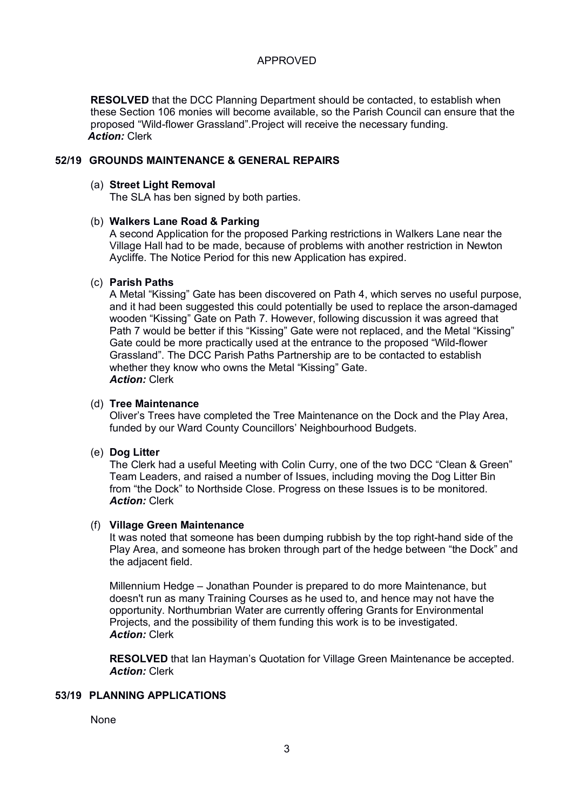**RESOLVED** that the DCC Planning Department should be contacted, to establish when these Section 106 monies will become available, so the Parish Council can ensure that the proposed "Wild-flower Grassland".Project will receive the necessary funding. *Action:* Clerk

### **52/19 GROUNDS MAINTENANCE & GENERAL REPAIRS**

#### (a) **Street Light Removal**

The SLA has ben signed by both parties.

#### (b) **Walkers Lane Road & Parking**

A second Application for the proposed Parking restrictions in Walkers Lane near the Village Hall had to be made, because of problems with another restriction in Newton Aycliffe. The Notice Period for this new Application has expired.

#### (c) **Parish Paths**

A Metal "Kissing" Gate has been discovered on Path 4, which serves no useful purpose, and it had been suggested this could potentially be used to replace the arson-damaged wooden "Kissing" Gate on Path 7. However, following discussion it was agreed that Path 7 would be better if this "Kissing" Gate were not replaced, and the Metal "Kissing" Gate could be more practically used at the entrance to the proposed "Wild-flower Grassland". The DCC Parish Paths Partnership are to be contacted to establish whether they know who owns the Metal "Kissing" Gate. *Action:* Clerk

#### (d) **Tree Maintenance**

Oliver's Trees have completed the Tree Maintenance on the Dock and the Play Area, funded by our Ward County Councillors' Neighbourhood Budgets.

#### (e) **Dog Litter**

The Clerk had a useful Meeting with Colin Curry, one of the two DCC "Clean & Green" Team Leaders, and raised a number of Issues, including moving the Dog Litter Bin from "the Dock" to Northside Close. Progress on these Issues is to be monitored. *Action:* Clerk

#### (f) **Village Green Maintenance**

It was noted that someone has been dumping rubbish by the top right-hand side of the Play Area, and someone has broken through part of the hedge between "the Dock" and the adjacent field.

Millennium Hedge – Jonathan Pounder is prepared to do more Maintenance, but doesn't run as many Training Courses as he used to, and hence may not have the opportunity. Northumbrian Water are currently offering Grants for Environmental Projects, and the possibility of them funding this work is to be investigated. *Action:* Clerk

**RESOLVED** that Ian Hayman's Quotation for Village Green Maintenance be accepted. *Action:* Clerk

## **53/19 PLANNING APPLICATIONS**

None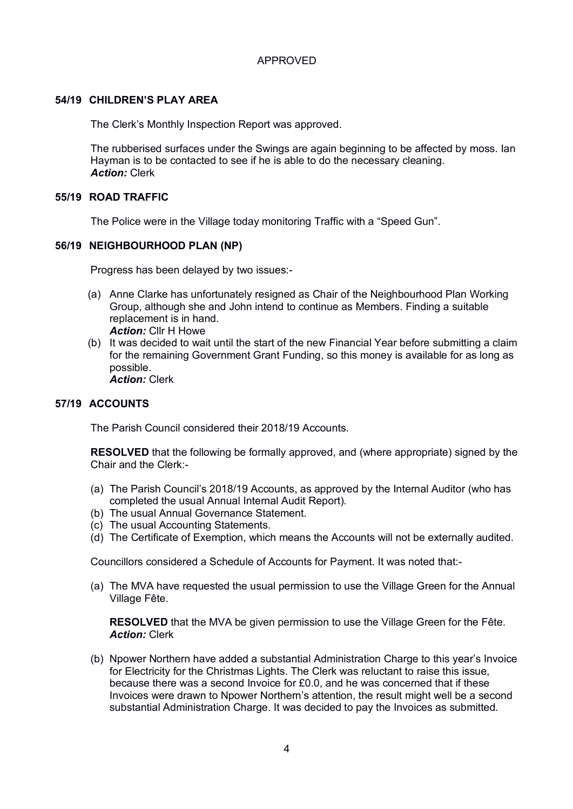## **54/19 CHILDREN'S PLAY AREA**

The Clerk's Monthly Inspection Report was approved.

The rubberised surfaces under the Swings are again beginning to be affected by moss. Ian Hayman is to be contacted to see if he is able to do the necessary cleaning. *Action:* Clerk

#### **55/19 ROAD TRAFFIC**

The Police were in the Village today monitoring Traffic with a "Speed Gun".

### **56/19 NEIGHBOURHOOD PLAN (NP)**

Progress has been delayed by two issues:-

- (a) Anne Clarke has unfortunately resigned as Chair of the Neighbourhood Plan Working Group, although she and John intend to continue as Members. Finding a suitable replacement is in hand. *Action:* Cllr H Howe
- (b) It was decided to wait until the start of the new Financial Year before submitting a claim for the remaining Government Grant Funding, so this money is available for as long as possible. *Action:* Clerk

### **57/19 ACCOUNTS**

The Parish Council considered their 2018/19 Accounts.

**RESOLVED** that the following be formally approved, and (where appropriate) signed by the Chair and the Clerk:-

- (a) The Parish Council's 2018/19 Accounts, as approved by the Internal Auditor (who has completed the usual Annual Internal Audit Report).
- (b) The usual Annual Governance Statement.
- (c) The usual Accounting Statements.
- (d) The Certificate of Exemption, which means the Accounts will not be externally audited.

Councillors considered a Schedule of Accounts for Payment. It was noted that:-

(a) The MVA have requested the usual permission to use the Village Green for the Annual Village Fête.

**RESOLVED** that the MVA be given permission to use the Village Green for the Fête. *Action:* Clerk

(b) Npower Northern have added a substantial Administration Charge to this year's Invoice for Electricity for the Christmas Lights. The Clerk was reluctant to raise this issue, because there was a second Invoice for £0.0, and he was concerned that if these Invoices were drawn to Npower Northern's attention, the result might well be a second substantial Administration Charge. It was decided to pay the Invoices as submitted.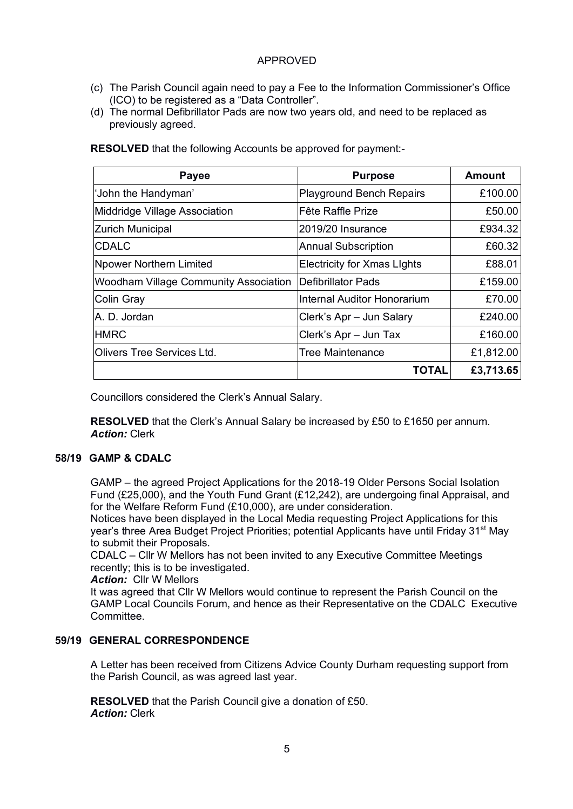- (c) The Parish Council again need to pay a Fee to the Information Commissioner's Office (ICO) to be registered as a "Data Controller".
- (d) The normal Defibrillator Pads are now two years old, and need to be replaced as previously agreed.

**Payee Payee Purpose Amount** 'John the Handyman' Playground Bench Repairs £100.00 Middridge Village Association The Teatler Raffle Prize The Control of the E50.00 Zurich Municipal 2019/20 Insurance £934.32 CDALC **Annual Subscription** 260.32 Npower Northern Limited **Electricity for Xmas Lights** F88.01 Woodham Village Community Association Defibrillator Pads £159.00 Colin Gray Internal Auditor Honorarium £70.00 A. D. Jordan **Clerk's Apr – Jun Salary Clerk's Apr** – Jun Salary E240.00 HMRC **Election Clerk's Apr – Jun Tax** E160.00 Olivers Tree Services Ltd. Tree Maintenance Function Collection Contract 1 (1.812.00 **TOTAL £3,713.65**

**RESOLVED** that the following Accounts be approved for payment:-

Councillors considered the Clerk's Annual Salary.

**RESOLVED** that the Clerk's Annual Salary be increased by £50 to £1650 per annum. *Action:* Clerk

## **58/19 GAMP & CDALC**

GAMP – the agreed Project Applications for the 2018-19 Older Persons Social Isolation Fund (£25,000), and the Youth Fund Grant (£12,242), are undergoing final Appraisal, and for the Welfare Reform Fund (£10,000), are under consideration.

Notices have been displayed in the Local Media requesting Project Applications for this year's three Area Budget Project Priorities; potential Applicants have until Friday 31st May to submit their Proposals.

CDALC – Cllr W Mellors has not been invited to any Executive Committee Meetings recently; this is to be investigated.

*Action:* Cllr W Mellors

It was agreed that Cllr W Mellors would continue to represent the Parish Council on the GAMP Local Councils Forum, and hence as their Representative on the CDALC Executive Committee.

## **59/19 GENERAL CORRESPONDENCE**

A Letter has been received from Citizens Advice County Durham requesting support from the Parish Council, as was agreed last year.

**RESOLVED** that the Parish Council give a donation of £50. *Action:* Clerk